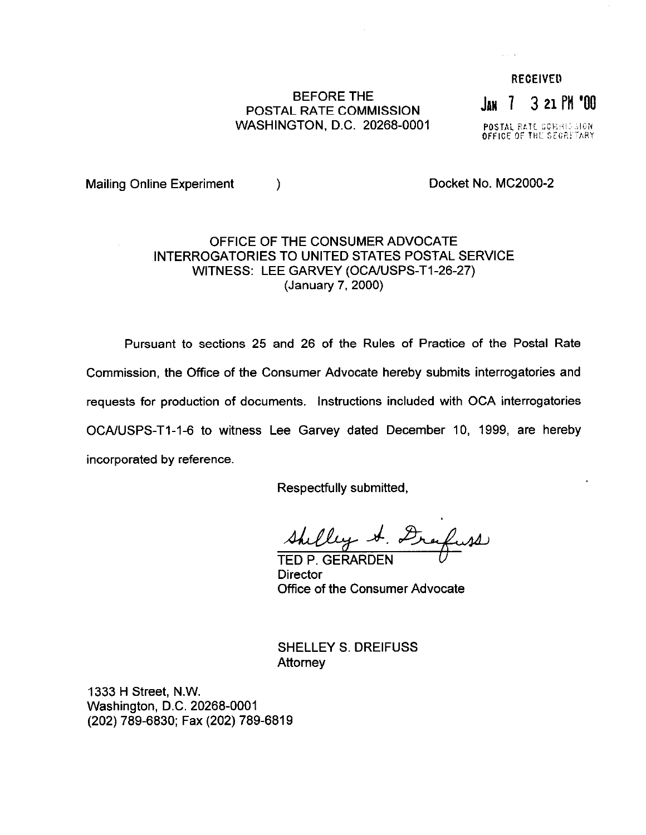## BEFORE THE BEFURE THE **JAN** 7 3 21 PM '00 WASHINGTON, D.C. 20268-0001

**RECEIVED** 

POSTAL RATE CORRISSION<br>OFFICE OF THE SECRETARY

Mailing Online Experiment (a) and the control of Docket No. MC2000-2

## OFFICE OF THE CONSUMER ADVOCATE INTERROGATORIES TO UNITED STATES POSTAL SERVICE WITNESS: LEE GARVEY (OCA/USPS-T1-26-27) (January 7,200O)

Pursuant to sections 25 and 26 of the Rules of Practice of the Postal Rate Commission, the Office of the Consumer Advocate hereby submits interrogatories and requests for production of documents. Instructions included with OCA interrogatories OCA/USPS-T1-1-6 to witness Lee Garvey dated December 10, 1999, are hereby incorporated by reference.

Respectfully submitted,

Shelley A. Drafuss

**Director** Office of the Consumer Advocate

SHELLEY S. DREIFUSS **Attorney** 

1333 H Street, N.W. Washington, D.C. 20268-0001 (202) 789-6830; Fax (202) 789-6819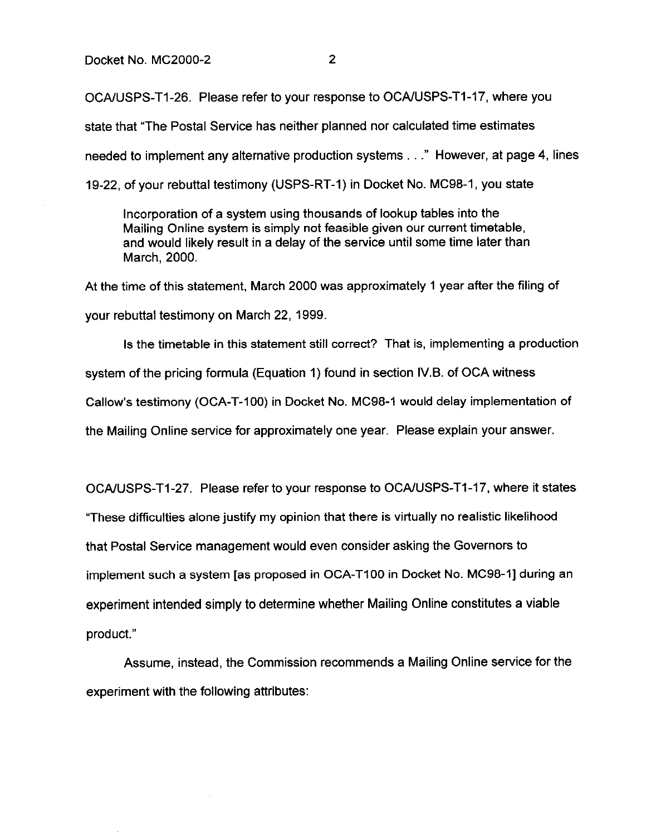OCAIUSPS-Tl-26. Please refer to your response to OCAIUSPS-Tl-17, where you

state that "The Postal Service has neither planned nor calculated time estimates

needed to implement any alternative production systems . . ." However, at page 4, lines

19-22, of your rebuttal testimony (USPS-RT-1) in Docket No. MC98-1, you state

Incorporation of a system using thousands of lookup tables into the Mailing Online system is simply not feasible given our current timetable, and would likely result in a delay of the service until some time later than March. 2000.

At the time of this statement, March 2000 was approximately 1 year after the filing of your rebuttal testimony on March 22, 1999,

Is the timetable in this statement still correct? That is, implementing a production system of the pricing formula (Equation 1) found in section 1V.B. of OCA witness Callow's testimony (OCA-T-100) in Docket No. MC98-1 would delay implementation of the Mailing Online service for approximately one year. Please explain your answer.

OCA/USPS-T1-27. Please refer to your response to OCA/USPS-T1-17, where it states "These difficulties alone justify my opinion that there is virtually no realistic likelihood that Postal Service management would even consider asking the Governors to implement such a system [as proposed in OCA-TIOO in Docket No. MC98-I] during an experiment intended simply to determine whether Mailing Online constitutes a viable product."

Assume, instead, the Commission recommends a Mailing Online service for the experiment with the following attributes: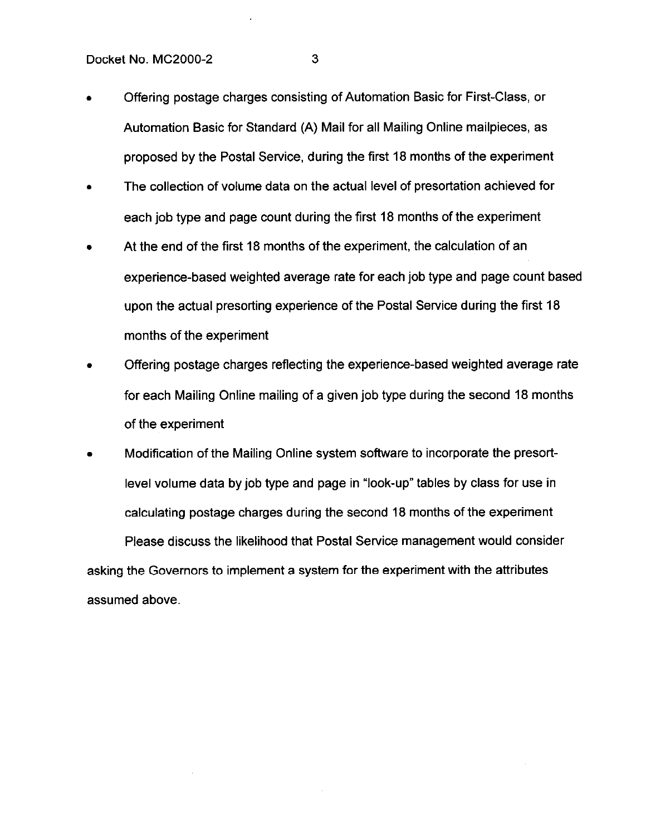- Offering postage charges consisting of Automation Basic for First-Class, or Automation Basic for Standard (A) Mail for all Mailing Online mailpieces, as proposed by the Postal Service, during the first 18 months of the experiment
- The collection of volume data on the actual level of presortation achieved for each job type and page count during the first 18 months of the experiment
- At the end of the first 18 months of the experiment, the calculation of an experience-based weighted average rate for each job type and page count based upon the actual presorting experience of the Postal Service during the first 18 months of the experiment
- Offering postage charges reflecting the experience-based weighted average rate for each Mailing Online mailing of a given job type during the second 18 months of the experiment
- Modification of the Mailing Online system software to incorporate the presortlevel volume data by job type and page in "look-up" tables by class for use in calculating postage charges during the second 18 months of the experiment Please discuss the likelihood that Postal Service management would consider asking the Governors to implement a system for the experiment with the attributes assumed above.